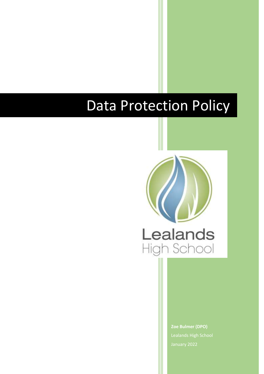# Data Protection Policy



**Zoe Bulmer (DPO)** Lealands High School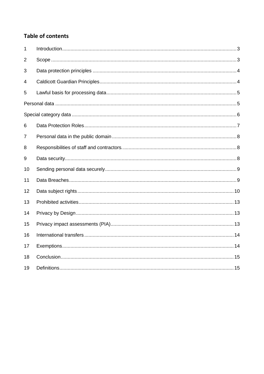# **Table of contents**

| 1  |  |
|----|--|
| 2  |  |
| 3  |  |
| 4  |  |
| 5  |  |
|    |  |
|    |  |
| 6  |  |
| 7  |  |
| 8  |  |
| 9  |  |
| 10 |  |
| 11 |  |
| 12 |  |
| 13 |  |
| 14 |  |
| 15 |  |
| 16 |  |
| 17 |  |
| 18 |  |
| 19 |  |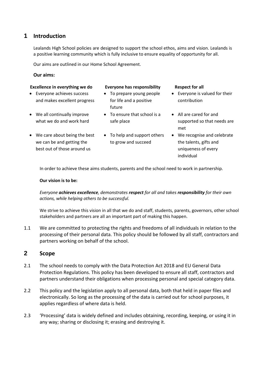#### <span id="page-2-0"></span>**1 Introduction**

Lealands High School policies are designed to support the school ethos, aims and vision. Lealands is a positive learning community which is fully inclusive to ensure equality of opportunity for all.

Our aims are outlined in our Home School Agreement.

#### **Our aims:**

#### **Excellence in everything we do Everyone has responsibility Respect for all**

- Everyone achieves success and makes excellent progress
- We all continually improve what we do and work hard
- We care about being the best we can be and getting the best out of those around us

- To prepare young people for life and a positive future
- To ensure that school is a safe place
- To help and support others to grow and succeed

- Everyone is valued for their contribution
- All are cared for and supported so that needs are met
- We recognise and celebrate the talents, gifts and uniqueness of every individual

In order to achieve these aims students, parents and the school need to work in partnership.

#### **Our vision is to be:**

*Everyone achieves excellence, demonstrates respect for all and takes responsibility for their own actions, while helping others to be successful.*

We strive to achieve this vision in all that we do and staff, students, parents, governors, other school stakeholders and partners are all an important part of making this happen.

1.1 We are committed to protecting the rights and freedoms of all individuals in relation to the processing of their personal data. This policy should be followed by all staff, contractors and partners working on behalf of the school.

#### <span id="page-2-1"></span>**2 Scope**

- 2.1 The school needs to comply with the Data Protection Act 2018 and EU General Data Protection Regulations. This policy has been developed to ensure all staff, contractors and partners understand their obligations when processing personal and special category data.
- 2.2 This policy and the legislation apply to all personal data, both that held in paper files and electronically. So long as the processing of the data is carried out for school purposes, it applies regardless of where data is held.
- 2.3 'Processing' data is widely defined and includes obtaining, recording, keeping, or using it in any way; sharing or disclosing it; erasing and destroying it.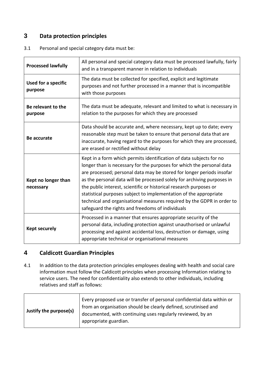### <span id="page-3-0"></span>**3 Data protection principles**

| 3.1 | Personal and special category data must be: |
|-----|---------------------------------------------|
|     |                                             |

| <b>Processed lawfully</b>             | All personal and special category data must be processed lawfully, fairly<br>and in a transparent manner in relation to individuals                                                                                                                                                                                                                                                                                                                                                                                                                                       |
|---------------------------------------|---------------------------------------------------------------------------------------------------------------------------------------------------------------------------------------------------------------------------------------------------------------------------------------------------------------------------------------------------------------------------------------------------------------------------------------------------------------------------------------------------------------------------------------------------------------------------|
| <b>Used for a specific</b><br>purpose | The data must be collected for specified, explicit and legitimate<br>purposes and not further processed in a manner that is incompatible<br>with those purposes                                                                                                                                                                                                                                                                                                                                                                                                           |
| Be relevant to the<br>purpose         | The data must be adequate, relevant and limited to what is necessary in<br>relation to the purposes for which they are processed                                                                                                                                                                                                                                                                                                                                                                                                                                          |
| <b>Be accurate</b>                    | Data should be accurate and, where necessary, kept up to date; every<br>reasonable step must be taken to ensure that personal data that are<br>inaccurate, having regard to the purposes for which they are processed,<br>are erased or rectified without delay                                                                                                                                                                                                                                                                                                           |
| Kept no longer than<br>necessary      | Kept in a form which permits identification of data subjects for no<br>longer than is necessary for the purposes for which the personal data<br>are processed; personal data may be stored for longer periods insofar<br>as the personal data will be processed solely for archiving purposes in<br>the public interest, scientific or historical research purposes or<br>statistical purposes subject to implementation of the appropriate<br>technical and organisational measures required by the GDPR in order to<br>safeguard the rights and freedoms of individuals |
| <b>Kept securely</b>                  | Processed in a manner that ensures appropriate security of the<br>personal data, including protection against unauthorised or unlawful<br>processing and against accidental loss, destruction or damage, using<br>appropriate technical or organisational measures                                                                                                                                                                                                                                                                                                        |

# <span id="page-3-1"></span>**4 Caldicott Guardian Principles**

4.1 In addition to the data protection principles employees dealing with health and social care information must follow the Caldicott principles when processing Information relating to service users. The need for confidentiality also extends to other individuals, including relatives and staff as follows: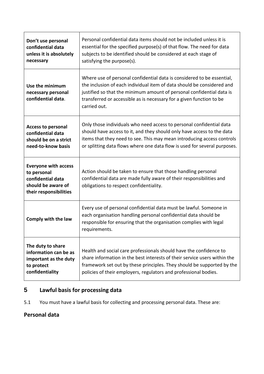| Don't use personal<br>confidential data<br>unless it is absolutely<br>necessary                                 | Personal confidential data items should not be included unless it is<br>essential for the specified purpose(s) of that flow. The need for data<br>subjects to be identified should be considered at each stage of<br>satisfying the purpose(s).                                                                   |
|-----------------------------------------------------------------------------------------------------------------|-------------------------------------------------------------------------------------------------------------------------------------------------------------------------------------------------------------------------------------------------------------------------------------------------------------------|
| Use the minimum<br>necessary personal<br>confidential data.                                                     | Where use of personal confidential data is considered to be essential,<br>the inclusion of each individual item of data should be considered and<br>justified so that the minimum amount of personal confidential data is<br>transferred or accessible as is necessary for a given function to be<br>carried out. |
| <b>Access to personal</b><br>confidential data<br>should be on a strict<br>need-to-know basis                   | Only those individuals who need access to personal confidential data<br>should have access to it, and they should only have access to the data<br>items that they need to see. This may mean introducing access controls<br>or splitting data flows where one data flow is used for several purposes.             |
| <b>Everyone with access</b><br>to personal<br>confidential data<br>should be aware of<br>their responsibilities | Action should be taken to ensure that those handling personal<br>confidential data are made fully aware of their responsibilities and<br>obligations to respect confidentiality.                                                                                                                                  |
| Comply with the law                                                                                             | Every use of personal confidential data must be lawful. Someone in<br>each organisation handling personal confidential data should be<br>responsible for ensuring that the organisation complies with legal<br>requirements.                                                                                      |
| The duty to share<br>information can be as<br>important as the duty<br>to protect<br>confidentiality            | Health and social care professionals should have the confidence to<br>share information in the best interests of their service users within the<br>framework set out by these principles. They should be supported by the<br>policies of their employers, regulators and professional bodies.                     |

# <span id="page-4-0"></span>**5 Lawful basis for processing data**

5.1 You must have a lawful basis for collecting and processing personal data. These are:

# <span id="page-4-1"></span>**Personal data**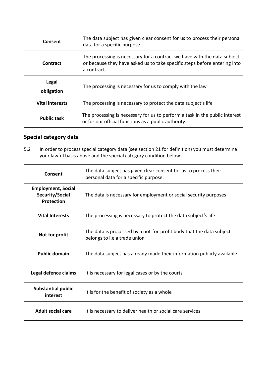| Consent                | The data subject has given clear consent for us to process their personal<br>data for a specific purpose.                                                             |
|------------------------|-----------------------------------------------------------------------------------------------------------------------------------------------------------------------|
| Contract               | The processing is necessary for a contract we have with the data subject,<br>or because they have asked us to take specific steps before entering into<br>a contract. |
| Legal<br>obligation    | The processing is necessary for us to comply with the law                                                                                                             |
| <b>Vital interests</b> | The processing is necessary to protect the data subject's life                                                                                                        |
| <b>Public task</b>     | The processing is necessary for us to perform a task in the public interest<br>or for our official functions as a public authority.                                   |

# <span id="page-5-0"></span>**Special category data**

5.2 In order to process special category data (see section 21 for definition) you must determine your lawful basis above and the special category condition below:

| Consent                                                    | The data subject has given clear consent for us to process their<br>personal data for a specific purpose. |
|------------------------------------------------------------|-----------------------------------------------------------------------------------------------------------|
| <b>Employment, Social</b><br>Security/Social<br>Protection | The data is necessary for employment or social security purposes                                          |
| <b>Vital Interests</b>                                     | The processing is necessary to protect the data subject's life                                            |
| Not for profit                                             | The data is processed by a not-for-profit body that the data subject<br>belongs to i.e a trade union      |
| <b>Public domain</b>                                       | The data subject has already made their information publicly available                                    |
| Legal defence claims                                       | It is necessary for legal cases or by the courts                                                          |
| <b>Substantial public</b><br>interest                      | It is for the benefit of society as a whole                                                               |
| <b>Adult social care</b>                                   | It is necessary to deliver health or social care services                                                 |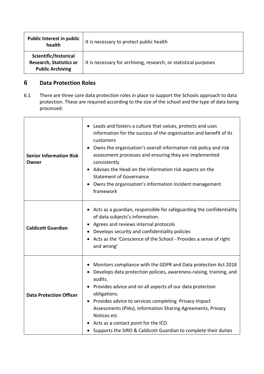| <b>Public Interest in public</b><br>health                                         | It is necessary to protect public health                         |
|------------------------------------------------------------------------------------|------------------------------------------------------------------|
| Scientific/historical<br><b>Research, Statistics or</b><br><b>Public Archiving</b> | It is necessary for archiving, research, or statistical purposes |

## <span id="page-6-0"></span>**6 Data Protection Roles**

6.1 There are three core data protection roles in place to support the Schools approach to data protection. These are required according to the size of the school and the type of data being processed:

| <b>Senior Information Risk</b><br>Owner | • Leads and fosters a culture that values, protects and uses<br>information for the success of the organisation and benefit of its<br>customers<br>Owns the organisation's overall information risk policy and risk<br>assessment processes and ensuring they are implemented<br>consistently<br>• Advises the Head on the information risk aspects on the<br><b>Statement of Governance</b><br>• Owns the organisation's information incident management<br>framework              |
|-----------------------------------------|-------------------------------------------------------------------------------------------------------------------------------------------------------------------------------------------------------------------------------------------------------------------------------------------------------------------------------------------------------------------------------------------------------------------------------------------------------------------------------------|
| <b>Caldicott Guardian</b>               | Acts as a guardian, responsible for safeguarding the confidentiality<br>of data subjects's information.<br>Agrees and reviews internal protocols<br>Develops security and confidentiality policies<br>Acts as the 'Conscience of the School - Provides a sense of right<br>and wrong'                                                                                                                                                                                               |
| <b>Data Protection Officer</b>          | Monitors compliance with the GDPR and Data protection Act 2018<br>Develops data protection policies, awareness-raising, training, and<br>audits.<br>Provides advice and on all aspects of our data protection<br>obligations.<br>Provides advice to services completing Privacy Impact<br>Assessments (PIAs), Information Sharing Agreements, Privacy<br>Notices etc<br>• Acts as a contact point for the ICO.<br>• Supports the SIRO & Caldicott Guardian to complete their duties |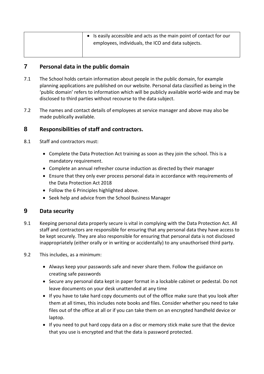| • Is easily accessible and acts as the main point of contact for our |
|----------------------------------------------------------------------|
| employees, individuals, the ICO and data subjects.                   |
|                                                                      |

#### <span id="page-7-0"></span>**7 Personal data in the public domain**

- 7.1 The School holds certain information about people in the public domain, for example planning applications are published on our website. Personal data classified as being in the 'public domain' refers to information which will be publicly available world-wide and may be disclosed to third parties without recourse to the data subject.
- 7.2 The names and contact details of employees at service manager and above may also be made publically available.

#### <span id="page-7-1"></span>**8 Responsibilities of staff and contractors.**

- 8.1 Staff and contractors must:
	- Complete the Data Protection Act training as soon as they join the school. This is a mandatory requirement.
	- Complete an annual refresher course induction as directed by their manager
	- Ensure that they only ever process personal data in accordance with requirements of the Data Protection Act 2018
	- Follow the 6 Principles highlighted above.
	- Seek help and advice from the School Business Manager

#### <span id="page-7-2"></span>**9 Data security**

- 9.1 Keeping personal data properly secure is vital in complying with the Data Protection Act. All staff and contractors are responsible for ensuring that any personal data they have access to be kept securely. They are also responsible for ensuring that personal data is not disclosed inappropriately (either orally or in writing or accidentally) to any unauthorised third party.
- 9.2 This includes, as a minimum:
	- Always keep your passwords safe and never share them. Follow the guidance on creating safe passwords
	- Secure any personal data kept in paper format in a lockable cabinet or pedestal. Do not leave documents on your desk unattended at any time
	- If you have to take hard copy documents out of the office make sure that you look after them at all times, this includes note books and files. Consider whether you need to take files out of the office at all or if you can take them on an encrypted handheld device or laptop.
	- If you need to put hard copy data on a disc or memory stick make sure that the device that you use is encrypted and that the data is password protected.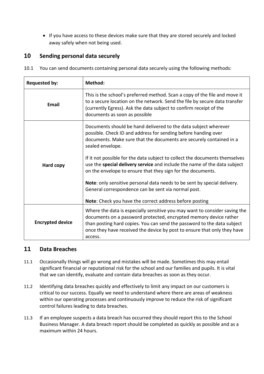If you have access to these devices make sure that they are stored securely and locked away safely when not being used.

#### <span id="page-8-0"></span>**10 Sending personal data securely**

10.1 You can send documents containing personal data securely using the following methods:

| <b>Requested by:</b>    | Method:                                                                                                                                                                                                                                                                                                           |
|-------------------------|-------------------------------------------------------------------------------------------------------------------------------------------------------------------------------------------------------------------------------------------------------------------------------------------------------------------|
| <b>Fmail</b>            | This is the school's preferred method. Scan a copy of the file and move it<br>to a secure location on the network. Send the file by secure data transfer<br>(currently Egress). Ask the data subject to confirm receipt of the<br>documents as soon as possible                                                   |
|                         | Documents should be hand delivered to the data subject wherever<br>possible. Check ID and address for sending before handing over<br>documents. Make sure that the documents are securely contained in a<br>sealed envelope.                                                                                      |
| <b>Hard copy</b>        | If it not possible for the data subject to collect the documents themselves<br>use the special delivery service and include the name of the data subject<br>on the envelope to ensure that they sign for the documents.                                                                                           |
|                         | Note: only sensitive personal data needs to be sent by special delivery.<br>General correspondence can be sent via normal post.<br>Note: Check you have the correct address before posting                                                                                                                        |
| <b>Encrypted device</b> | Where the data is especially sensitive you may want to consider saving the<br>documents on a password protected, encrypted memory device rather<br>than posting hard copies. You can send the password to the data subject<br>once they have received the device by post to ensure that only they have<br>access. |

#### <span id="page-8-1"></span>**11 Data Breaches**

- 11.1 Occasionally things will go wrong and mistakes will be made. Sometimes this may entail significant financial or reputational risk for the school and our families and pupils. It is vital that we can identify, evaluate and contain data breaches as soon as they occur.
- 11.2 Identifying data breaches quickly and effectively to limit any impact on our customers is critical to our success. Equally we need to understand where there are areas of weakness within our operating processes and continuously improve to reduce the risk of significant control failures leading to data breaches.
- 11.3 If an employee suspects a data breach has occurred they should report this to the School Business Manager. A data breach report should be completed as quickly as possible and as a maximum within 24 hours.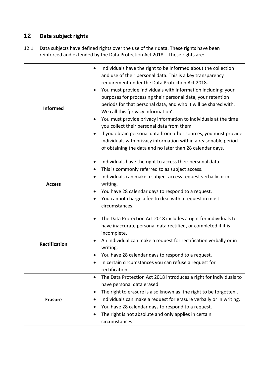# <span id="page-9-0"></span>**12 Data subject rights**

12.1 Data subjects have defined rights over the use of their data. These rights have been reinforced and extended by the Data Protection Act 2018. These rights are:

| <b>Informed</b>      | Individuals have the right to be informed about the collection<br>٠<br>and use of their personal data. This is a key transparency<br>requirement under the Data Protection Act 2018.<br>You must provide individuals with information including: your<br>purposes for processing their personal data, your retention<br>periods for that personal data, and who it will be shared with.<br>We call this 'privacy information'.<br>You must provide privacy information to individuals at the time<br>you collect their personal data from them.<br>If you obtain personal data from other sources, you must provide<br>$\bullet$<br>individuals with privacy information within a reasonable period<br>of obtaining the data and no later than 28 calendar days. |
|----------------------|------------------------------------------------------------------------------------------------------------------------------------------------------------------------------------------------------------------------------------------------------------------------------------------------------------------------------------------------------------------------------------------------------------------------------------------------------------------------------------------------------------------------------------------------------------------------------------------------------------------------------------------------------------------------------------------------------------------------------------------------------------------|
| <b>Access</b>        | Individuals have the right to access their personal data.<br>This is commonly referred to as subject access.<br>$\bullet$<br>Individuals can make a subject access request verbally or in<br>$\bullet$<br>writing.<br>You have 28 calendar days to respond to a request.<br>You cannot charge a fee to deal with a request in most<br>circumstances.                                                                                                                                                                                                                                                                                                                                                                                                             |
| <b>Rectification</b> | The Data Protection Act 2018 includes a right for individuals to<br>$\bullet$<br>have inaccurate personal data rectified, or completed if it is<br>incomplete.<br>An individual can make a request for rectification verbally or in<br>writing.<br>You have 28 calendar days to respond to a request.<br>In certain circumstances you can refuse a request for<br>rectification.                                                                                                                                                                                                                                                                                                                                                                                 |
| <b>Erasure</b>       | The Data Protection Act 2018 introduces a right for individuals to<br>$\bullet$<br>have personal data erased.<br>The right to erasure is also known as 'the right to be forgotten'.<br>Individuals can make a request for erasure verbally or in writing.<br>You have 28 calendar days to respond to a request.<br>The right is not absolute and only applies in certain<br>circumstances.                                                                                                                                                                                                                                                                                                                                                                       |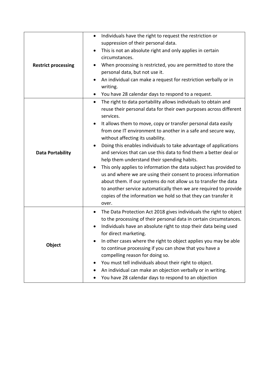| <b>Restrict processing</b> | Individuals have the right to request the restriction or<br>suppression of their personal data.<br>This is not an absolute right and only applies in certain<br>circumstances.<br>When processing is restricted, you are permitted to store the<br>personal data, but not use it.<br>An individual can make a request for restriction verbally or in<br>writing.<br>You have 28 calendar days to respond to a request.                                                                                                                                                                                                                                                                                                                                                                                                                                                                           |
|----------------------------|--------------------------------------------------------------------------------------------------------------------------------------------------------------------------------------------------------------------------------------------------------------------------------------------------------------------------------------------------------------------------------------------------------------------------------------------------------------------------------------------------------------------------------------------------------------------------------------------------------------------------------------------------------------------------------------------------------------------------------------------------------------------------------------------------------------------------------------------------------------------------------------------------|
| <b>Data Portability</b>    | The right to data portability allows individuals to obtain and<br>$\bullet$<br>reuse their personal data for their own purposes across different<br>services.<br>It allows them to move, copy or transfer personal data easily<br>$\bullet$<br>from one IT environment to another in a safe and secure way,<br>without affecting its usability.<br>Doing this enables individuals to take advantage of applications<br>and services that can use this data to find them a better deal or<br>help them understand their spending habits.<br>This only applies to information the data subject has provided to<br>us and where we are using their consent to process information<br>about them. If our systems do not allow us to transfer the data<br>to another service automatically then we are required to provide<br>copies of the information we hold so that they can transfer it<br>over. |
| Object                     | The Data Protection Act 2018 gives individuals the right to object<br>$\bullet$<br>to the processing of their personal data in certain circumstances.<br>Individuals have an absolute right to stop their data being used<br>for direct marketing.<br>In other cases where the right to object applies you may be able<br>to continue processing if you can show that you have a<br>compelling reason for doing so.<br>You must tell individuals about their right to object.<br>An individual can make an objection verbally or in writing.<br>You have 28 calendar days to respond to an objection                                                                                                                                                                                                                                                                                             |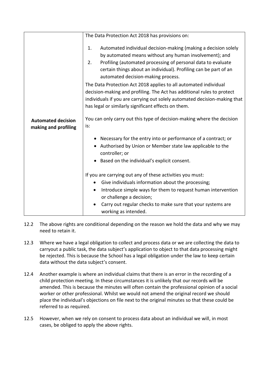|                                                   | The Data Protection Act 2018 has provisions on:                                                                                                                                                                                                                                                                                                                                                                                                                                                                                                                                                                                                                                   |
|---------------------------------------------------|-----------------------------------------------------------------------------------------------------------------------------------------------------------------------------------------------------------------------------------------------------------------------------------------------------------------------------------------------------------------------------------------------------------------------------------------------------------------------------------------------------------------------------------------------------------------------------------------------------------------------------------------------------------------------------------|
| <b>Automated decision</b><br>making and profiling | Automated individual decision-making (making a decision solely<br>1.<br>by automated means without any human involvement); and<br>Profiling (automated processing of personal data to evaluate<br>2.<br>certain things about an individual). Profiling can be part of an<br>automated decision-making process.<br>The Data Protection Act 2018 applies to all automated individual<br>decision-making and profiling. The Act has additional rules to protect<br>individuals if you are carrying out solely automated decision-making that<br>has legal or similarly significant effects on them.<br>You can only carry out this type of decision-making where the decision<br>is: |
|                                                   | Necessary for the entry into or performance of a contract; or<br>Authorised by Union or Member state law applicable to the<br>controller; or<br>Based on the individual's explicit consent.<br>If you are carrying out any of these activities you must:<br>Give individuals information about the processing;<br>Introduce simple ways for them to request human intervention                                                                                                                                                                                                                                                                                                    |
|                                                   | or challenge a decision;<br>Carry out regular checks to make sure that your systems are<br>working as intended.                                                                                                                                                                                                                                                                                                                                                                                                                                                                                                                                                                   |

- 12.2 The above rights are conditional depending on the reason we hold the data and why we may need to retain it.
- 12.3 Where we have a legal obligation to collect and process data or we are collecting the data to carryout a public task, the data subject's application to object to that data processing might be rejected. This is because the School has a legal obligation under the law to keep certain data without the data subject's consent.
- 12.4 Another example is where an individual claims that there is an error in the recording of a child protection meeting. In these circumstances it is unlikely that our records will be amended. This is because the minutes will often contain the professional opinion of a social worker or other professional. Whilst we would not amend the original record we should place the individual's objections on file next to the original minutes so that these could be referred to as required.
- 12.5 However, when we rely on consent to process data about an individual we will, in most cases, be obliged to apply the above rights.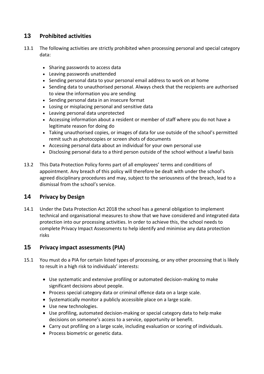### <span id="page-12-0"></span>**13 Prohibited activities**

- 13.1 The following activities are strictly prohibited when processing personal and special category data:
	- Sharing passwords to access data
	- Leaving passwords unattended
	- Sending personal data to your personal email address to work on at home
	- Sending data to unauthorised personal. Always check that the recipients are authorised to view the information you are sending
	- Sending personal data in an insecure format
	- Losing or misplacing personal and sensitive data
	- Leaving personal data unprotected
	- Accessing information about a resident or member of staff where you do not have a legitimate reason for doing do
	- Taking unauthorised copies, or images of data for use outside of the school's permitted remit such as photocopies or screen shots of documents
	- Accessing personal data about an individual for your own personal use
	- Disclosing personal data to a third person outside of the school without a lawful basis
- 13.2 This Data Protection Policy forms part of all employees' terms and conditions of appointment. Any breach of this policy will therefore be dealt with under the school's agreed disciplinary procedures and may, subject to the seriousness of the breach, lead to a dismissal from the school's service.

#### <span id="page-12-1"></span>**14 Privacy by Design**

14.1 Under the Data Protection Act 2018 the school has a general obligation to implement technical and organisational measures to show that we have considered and integrated data protection into our processing activities. In order to achieve this, the school needs to complete Privacy Impact Assessments to help identify and minimise any data protection risks

#### <span id="page-12-2"></span>**15 Privacy impact assessments (PIA)**

- 15.1 You must do a PIA for certain listed types of processing, or any other processing that is likely to result in a high risk to individuals' interests:
	- Use systematic and extensive profiling or automated decision-making to make significant decisions about people.
	- Process special category data or criminal offence data on a large scale.
	- Systematically monitor a publicly accessible place on a large scale.
	- Use new technologies.
	- Use profiling, automated decision-making or special category data to help make decisions on someone's access to a service, opportunity or benefit.
	- Carry out profiling on a large scale, including evaluation or scoring of individuals.
	- Process biometric or genetic data.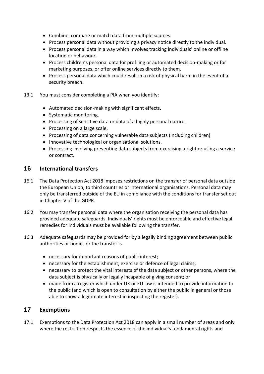- Combine, compare or match data from multiple sources.
- Process personal data without providing a privacy notice directly to the individual.
- Process personal data in a way which involves tracking individuals' online or offline location or behaviour.
- Process children's personal data for profiling or automated decision-making or for marketing purposes, or offer online services directly to them.
- Process personal data which could result in a risk of physical harm in the event of a security breach.
- 13.1 You must consider completing a PIA when you identify:
	- Automated decision-making with significant effects.
	- Systematic monitoring.
	- Processing of sensitive data or data of a highly personal nature.
	- Processing on a large scale.
	- Processing of data concerning vulnerable data subjects (including children)
	- Innovative technological or organisational solutions.
	- Processing involving preventing data subjects from exercising a right or using a service or contract.

#### <span id="page-13-0"></span>**16 International transfers**

- 16.1 The Data Protection Act 2018 imposes restrictions on the transfer of personal data outside the European Union, to third countries or international organisations. Personal data may only be transferred outside of the EU in compliance with the conditions for transfer set out in Chapter V of the GDPR.
- 16.2 You may transfer personal data where the organisation receiving the personal data has provided adequate safeguards. Individuals' rights must be enforceable and effective legal remedies for individuals must be available following the transfer.
- 16.3 Adequate safeguards may be provided for by a legally binding agreement between public authorities or bodies or the transfer is
	- necessary for important reasons of public interest;
	- necessary for the establishment, exercise or defence of legal claims;
	- necessary to protect the vital interests of the data subject or other persons, where the data subject is physically or legally incapable of giving consent; or
	- made from a register which under UK or EU law is intended to provide information to the public (and which is open to consultation by either the public in general or those able to show a legitimate interest in inspecting the register).

#### <span id="page-13-1"></span>**17 Exemptions**

17.1 Exemptions to the Data Protection Act 2018 can apply in a small number of areas and only where the restriction respects the essence of the individual's fundamental rights and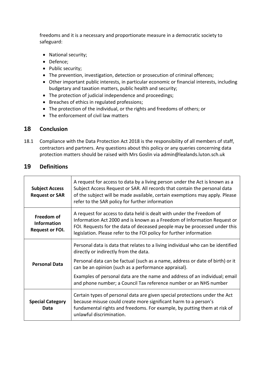freedoms and it is a necessary and proportionate measure in a democratic society to safeguard:

- National security;
- Defence;
- Public security;
- The prevention, investigation, detection or prosecution of criminal offences;
- Other important public interests, in particular economic or financial interests, including budgetary and taxation matters, public health and security;
- The protection of judicial independence and proceedings;
- Breaches of ethics in regulated professions;
- The protection of the individual, or the rights and freedoms of others; or
- The enforcement of civil law matters

#### <span id="page-14-0"></span>**18 Conclusion**

18.1 Compliance with the Data Protection Act 2018 is the responsibility of all members of staff, contractors and partners. Any questions about this policy or any queries concerning data protection matters should be raised with Mrs Goslin via admin@lealands.luton.sch.uk

#### <span id="page-14-1"></span>**19 Definitions**

| <b>Subject Access</b><br><b>Request or SAR</b>             | A request for access to data by a living person under the Act is known as a<br>Subject Access Request or SAR. All records that contain the personal data<br>of the subject will be made available, certain exemptions may apply. Please<br>refer to the SAR policy for further information           |
|------------------------------------------------------------|------------------------------------------------------------------------------------------------------------------------------------------------------------------------------------------------------------------------------------------------------------------------------------------------------|
| Freedom of<br><b>Information</b><br><b>Request or FOI.</b> | A request for access to data held is dealt with under the Freedom of<br>Information Act 2000 and is known as a Freedom of Information Request or<br>FOI. Requests for the data of deceased people may be processed under this<br>legislation. Please refer to the FOI policy for further information |
| <b>Personal Data</b>                                       | Personal data is data that relates to a living individual who can be identified<br>directly or indirectly from the data.                                                                                                                                                                             |
|                                                            | Personal data can be factual (such as a name, address or date of birth) or it<br>can be an opinion (such as a performance appraisal).                                                                                                                                                                |
|                                                            | Examples of personal data are the name and address of an individual; email<br>and phone number; a Council Tax reference number or an NHS number                                                                                                                                                      |
| <b>Special Category</b><br>Data                            | Certain types of personal data are given special protections under the Act<br>because misuse could create more significant harm to a person's<br>fundamental rights and freedoms. For example, by putting them at risk of<br>unlawful discrimination.                                                |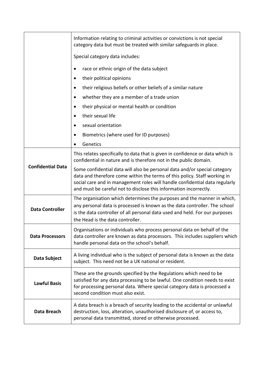|                          | Information relating to criminal activities or convictions is not special<br>category data but must be treated with similar safeguards in place.                                                                                                                                                           |
|--------------------------|------------------------------------------------------------------------------------------------------------------------------------------------------------------------------------------------------------------------------------------------------------------------------------------------------------|
|                          | Special category data includes:                                                                                                                                                                                                                                                                            |
|                          | race or ethnic origin of the data subject                                                                                                                                                                                                                                                                  |
|                          | their political opinions<br>$\bullet$                                                                                                                                                                                                                                                                      |
|                          | their religious beliefs or other beliefs of a similar nature                                                                                                                                                                                                                                               |
|                          | whether they are a member of a trade union<br>٠                                                                                                                                                                                                                                                            |
|                          | their physical or mental health or condition<br>٠                                                                                                                                                                                                                                                          |
|                          | their sexual life<br>$\bullet$                                                                                                                                                                                                                                                                             |
|                          | sexual orientation                                                                                                                                                                                                                                                                                         |
|                          | Biometrics (where used for ID purposes)<br>$\bullet$                                                                                                                                                                                                                                                       |
|                          | Genetics                                                                                                                                                                                                                                                                                                   |
| <b>Confidential Data</b> | This relates specifically to data that is given in confidence or data which is<br>confidential in nature and is therefore not in the public domain.                                                                                                                                                        |
|                          | Some confidential data will also be personal data and/or special category<br>data and therefore come within the terms of this policy. Staff working in<br>social care and in management roles will handle confidential data regularly<br>and must be careful not to disclose this information incorrectly. |
| <b>Data Controller</b>   | The organisation which determines the purposes and the manner in which,<br>any personal data is processed is known as the data controller. The school<br>is the data controller of all personal data used and held. For our purposes<br>the Head is the data controller.                                   |
| <b>Data Processors</b>   | Organisations or individuals who process personal data on behalf of the<br>data controller are known as data processors. This includes suppliers which<br>handle personal data on the school's behalf.                                                                                                     |
| Data Subject             | A living individual who is the subject of personal data is known as the data<br>subject. This need not be a UK national or resident.                                                                                                                                                                       |
| <b>Lawful Basis</b>      | These are the grounds specified by the Regulations which need to be<br>satisfied for any data processing to be lawful. One condition needs to exist<br>for processing personal data. Where special category data is processed a<br>second condition must also exist.                                       |
| Data Breach              | A data breach is a breach of security leading to the accidental or unlawful<br>destruction, loss, alteration, unauthorised disclosure of, or access to,<br>personal data transmitted, stored or otherwise processed.                                                                                       |